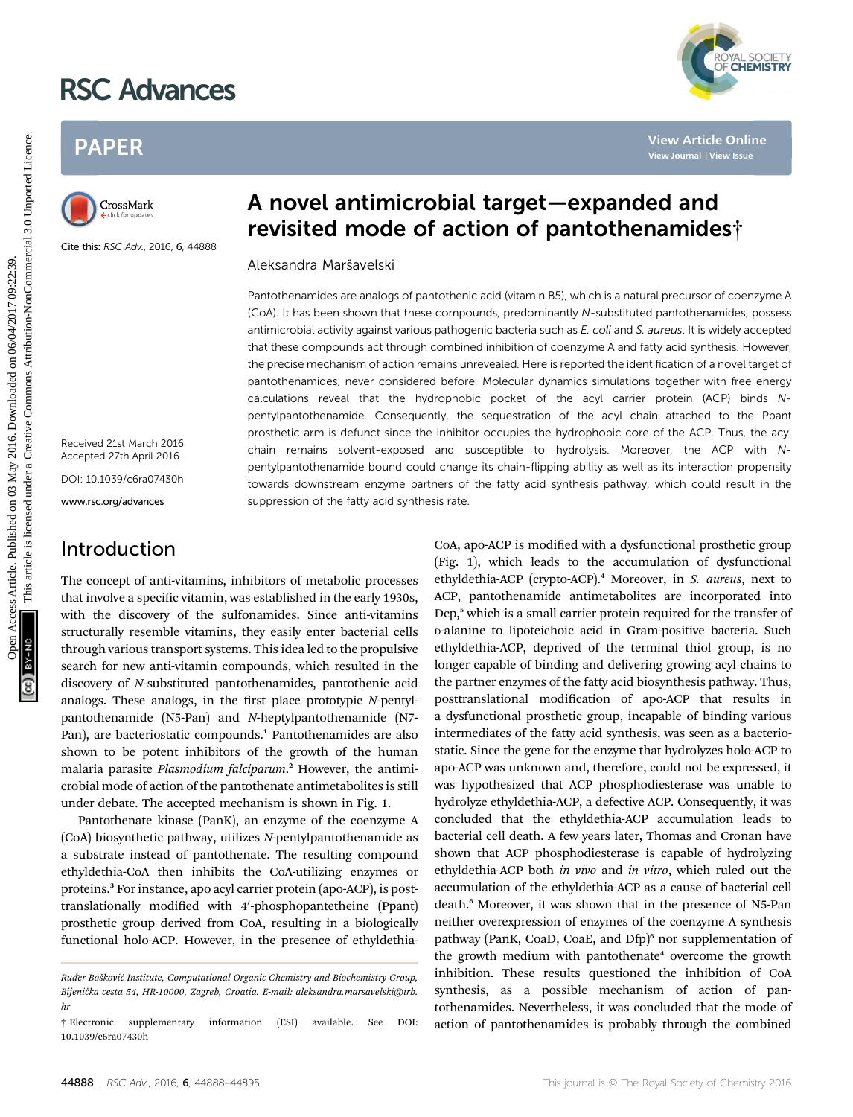# RSC Advances

## PAPER



Cite this: RSC Adv., 2016, 6, 44888

A novel antimicrobial target—expanded and revisited mode of action of pantothenamides†

Aleksandra Marˇsavelski

Pantothenamides are analogs of pantothenic acid (vitamin B5), which is a natural precursor of coenzyme A (CoA). It has been shown that these compounds, predominantly N-substituted pantothenamides, possess antimicrobial activity against various pathogenic bacteria such as E. coli and S. aureus. It is widely accepted that these compounds act through combined inhibition of coenzyme A and fatty acid synthesis. However, the precise mechanism of action remains unrevealed. Here is reported the identification of a novel target of pantothenamides, never considered before. Molecular dynamics simulations together with free energy calculations reveal that the hydrophobic pocket of the acyl carrier protein (ACP) binds Npentylpantothenamide. Consequently, the sequestration of the acyl chain attached to the Ppant prosthetic arm is defunct since the inhibitor occupies the hydrophobic core of the ACP. Thus, the acyl chain remains solvent-exposed and susceptible to hydrolysis. Moreover, the ACP with Npentylpantothenamide bound could change its chain-flipping ability as well as its interaction propensity towards downstream enzyme partners of the fatty acid synthesis pathway, which could result in the suppression of the fatty acid synthesis rate PAPER<br>
Parameterizative and **A novel antimicrobial target—expanded and<br>
Constant <b>A novel antimicrobial target—expanded and<br>
Constant <b>Periodic Constant Periodic Constant Constant Constant Constant Constant Constant C** 

Received 21st March 2016 Accepted 27th April 2016 DOI: 10.1039/c6ra07430h

www.rsc.org/advances

## Introduction

The concept of anti-vitamins, inhibitors of metabolic processes that involve a specific vitamin, was established in the early 1930s, with the discovery of the sulfonamides. Since anti-vitamins structurally resemble vitamins, they easily enter bacterial cells through various transport systems. This idea led to the propulsive search for new anti-vitamin compounds, which resulted in the discovery of N-substituted pantothenamides, pantothenic acid analogs. These analogs, in the first place prototypic  $N$ -pentylpantothenamide (N5-Pan) and N-heptylpantothenamide (N7- Pan), are bacteriostatic compounds.<sup>1</sup> Pantothenamides are also shown to be potent inhibitors of the growth of the human malaria parasite Plasmodium falciparum.<sup>2</sup> However, the antimicrobial mode of action of the pantothenate antimetabolites is still under debate. The accepted mechanism is shown in Fig. 1.

Pantothenate kinase (PanK), an enzyme of the coenzyme A (CoA) biosynthetic pathway, utilizes N-pentylpantothenamide as a substrate instead of pantothenate. The resulting compound ethyldethia-CoA then inhibits the CoA-utilizing enzymes or proteins.<sup>3</sup> For instance, apo acyl carrier protein (apo-ACP), is posttranslationally modified with 4'-phosphopantetheine (Ppant) prosthetic group derived from CoA, resulting in a biologically functional holo-ACP. However, in the presence of ethyldethiaCoA, apo-ACP is modified with a dysfunctional prosthetic group (Fig. 1), which leads to the accumulation of dysfunctional ethyldethia-ACP (crypto-ACP).<sup>4</sup> Moreover, in S. aureus, next to ACP, pantothenamide antimetabolites are incorporated into Dcp,<sup>5</sup> which is a small carrier protein required for the transfer of D-alanine to lipoteichoic acid in Gram-positive bacteria. Such ethyldethia-ACP, deprived of the terminal thiol group, is no longer capable of binding and delivering growing acyl chains to the partner enzymes of the fatty acid biosynthesis pathway. Thus, posttranslational modification of apo-ACP that results in a dysfunctional prosthetic group, incapable of binding various intermediates of the fatty acid synthesis, was seen as a bacteriostatic. Since the gene for the enzyme that hydrolyzes holo-ACP to apo-ACP was unknown and, therefore, could not be expressed, it was hypothesized that ACP phosphodiesterase was unable to hydrolyze ethyldethia-ACP, a defective ACP. Consequently, it was concluded that the ethyldethia-ACP accumulation leads to bacterial cell death. A few years later, Thomas and Cronan have shown that ACP phosphodiesterase is capable of hydrolyzing ethyldethia-ACP both in vivo and in vitro, which ruled out the accumulation of the ethyldethia-ACP as a cause of bacterial cell death.<sup>6</sup> Moreover, it was shown that in the presence of N5-Pan neither overexpression of enzymes of the coenzyme A synthesis pathway (PanK, CoaD, CoaE, and Dfp)<sup>6</sup> nor supplementation of the growth medium with pantothenate $4$  overcome the growth inhibition. These results questioned the inhibition of CoA synthesis, as a possible mechanism of action of pantothenamides. Nevertheless, it was concluded that the mode of action of pantothenamides is probably through the combined



Ruđer Bošković Institute, Computational Organic Chemistry and Biochemistry Group, Bijenička cesta 54, HR-10000, Zagreb, Croatia. E-mail: aleksandra.marsavelski@irb. hr

<sup>†</sup> Electronic supplementary information (ESI) available. See DOI: 10.1039/c6ra07430h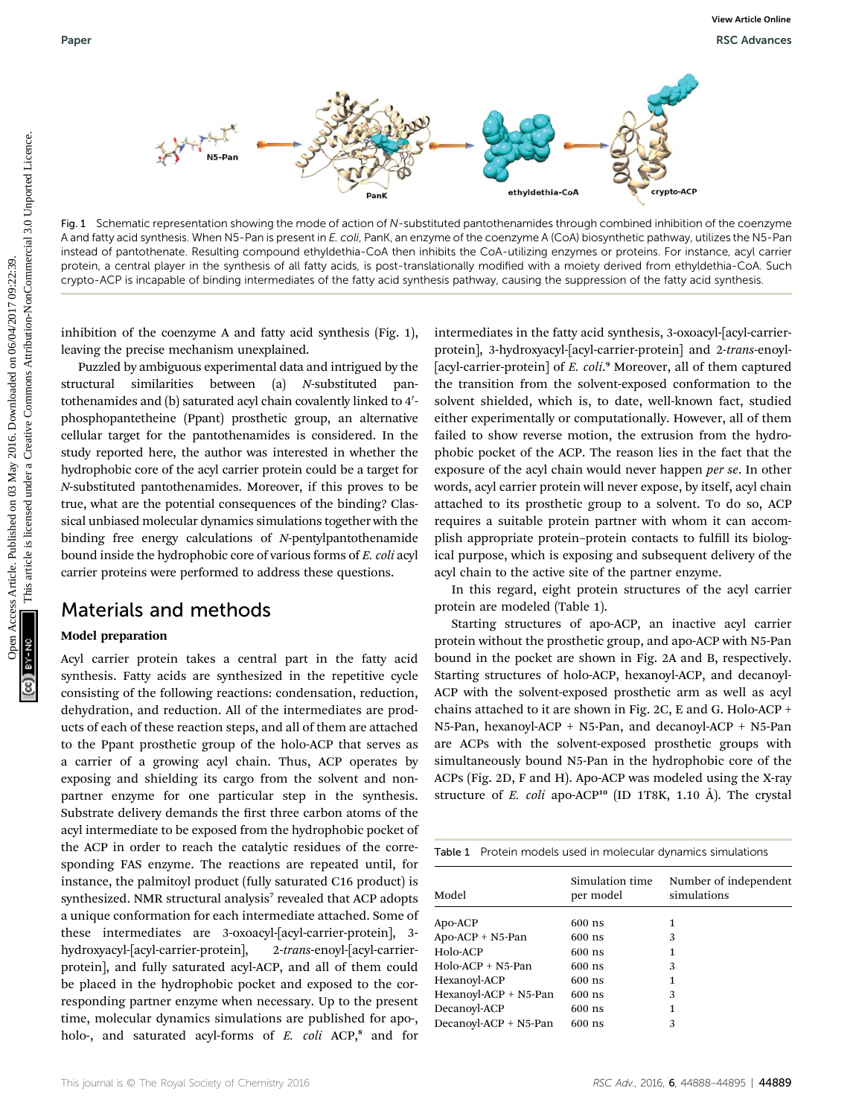

Fig. 1 Schematic representation showing the mode of action of N-substituted pantothenamides through combined inhibition of the coenzyme A and fatty acid synthesis. When N5-Pan is present in E. coli, PanK, an enzyme of the coenzyme A (CoA) biosynthetic pathway, utilizes the N5-Pan instead of pantothenate. Resulting compound ethyldethia-CoA then inhibits the CoA-utilizing enzymes or proteins. For instance, acyl carrier protein, a central player in the synthesis of all fatty acids, is post-translationally modified with a moiety derived from ethyldethia-CoA. Such crypto-ACP is incapable of binding intermediates of the fatty acid synthesis pathway, causing the suppression of the fatty acid synthesis.

inhibition of the coenzyme A and fatty acid synthesis (Fig. 1), leaving the precise mechanism unexplained.

Puzzled by ambiguous experimental data and intrigued by the structural similarities between (a) N-substituted pantothenamides and (b) saturated acyl chain covalently linked to  $4^{\prime}$ phosphopantetheine (Ppant) prosthetic group, an alternative cellular target for the pantothenamides is considered. In the study reported here, the author was interested in whether the hydrophobic core of the acyl carrier protein could be a target for N-substituted pantothenamides. Moreover, if this proves to be true, what are the potential consequences of the binding? Classical unbiased molecular dynamics simulations together with the binding free energy calculations of N-pentylpantothenamide bound inside the hydrophobic core of various forms of E. coli acyl carrier proteins were performed to address these questions.

### Materials and methods

#### Model preparation

Acyl carrier protein takes a central part in the fatty acid synthesis. Fatty acids are synthesized in the repetitive cycle consisting of the following reactions: condensation, reduction, dehydration, and reduction. All of the intermediates are products of each of these reaction steps, and all of them are attached to the Ppant prosthetic group of the holo-ACP that serves as a carrier of a growing acyl chain. Thus, ACP operates by exposing and shielding its cargo from the solvent and nonpartner enzyme for one particular step in the synthesis. Substrate delivery demands the first three carbon atoms of the acyl intermediate to be exposed from the hydrophobic pocket of the ACP in order to reach the catalytic residues of the corresponding FAS enzyme. The reactions are repeated until, for instance, the palmitoyl product (fully saturated C16 product) is synthesized. NMR structural analysis<sup>7</sup> revealed that ACP adopts a unique conformation for each intermediate attached. Some of these intermediates are 3-oxoacyl-[acyl-carrier-protein], 3 hydroxyacyl-[acyl-carrier-protein], 2-trans-enoyl-[acyl-carrierprotein], and fully saturated acyl-ACP, and all of them could be placed in the hydrophobic pocket and exposed to the corresponding partner enzyme when necessary. Up to the present time, molecular dynamics simulations are published for apo-, holo-, and saturated acyl-forms of E. coli ACP,<sup>8</sup> and for

intermediates in the fatty acid synthesis, 3-oxoacyl-[acyl-carrierprotein], 3-hydroxyacyl-[acyl-carrier-protein] and 2-trans-enoyl- [acyl-carrier-protein] of E. coli.<sup>9</sup> Moreover, all of them captured the transition from the solvent-exposed conformation to the solvent shielded, which is, to date, well-known fact, studied either experimentally or computationally. However, all of them failed to show reverse motion, the extrusion from the hydrophobic pocket of the ACP. The reason lies in the fact that the exposure of the acyl chain would never happen per se. In other words, acyl carrier protein will never expose, by itself, acyl chain attached to its prosthetic group to a solvent. To do so, ACP requires a suitable protein partner with whom it can accomplish appropriate protein-protein contacts to fulfill its biological purpose, which is exposing and subsequent delivery of the acyl chain to the active site of the partner enzyme. Paper Were Newton States Article 2016. The Common States Article is likely the second of the second of the second of the second of the second of the second of the second of the second of the second of the second of the sec

In this regard, eight protein structures of the acyl carrier protein are modeled (Table 1).

Starting structures of apo-ACP, an inactive acyl carrier protein without the prosthetic group, and apo-ACP with N5-Pan bound in the pocket are shown in Fig. 2A and B, respectively. Starting structures of holo-ACP, hexanoyl-ACP, and decanoyl-ACP with the solvent-exposed prosthetic arm as well as acyl chains attached to it are shown in Fig. 2C, E and G. Holo-ACP + N5-Pan, hexanoyl-ACP + N5-Pan, and decanoyl-ACP + N5-Pan are ACPs with the solvent-exposed prosthetic groups with simultaneously bound N5-Pan in the hydrophobic core of the ACPs (Fig. 2D, F and H). Apo-ACP was modeled using the X-ray structure of E. coli apo-ACP<sup>10</sup> (ID 1T8K, 1.10 Å). The crystal

| Simulation time | Number of independent<br>simulations |  |  |
|-----------------|--------------------------------------|--|--|
|                 |                                      |  |  |
| $600$ ns        | 1                                    |  |  |
| $600$ ns        | 3                                    |  |  |
| $600$ ns        | 1                                    |  |  |
| $600$ ns        | 3                                    |  |  |
| $600$ ns        | 1                                    |  |  |
| $600$ ns        | 3                                    |  |  |
| $600$ ns        | 1                                    |  |  |
| $600$ ns        | 3                                    |  |  |
|                 | per model                            |  |  |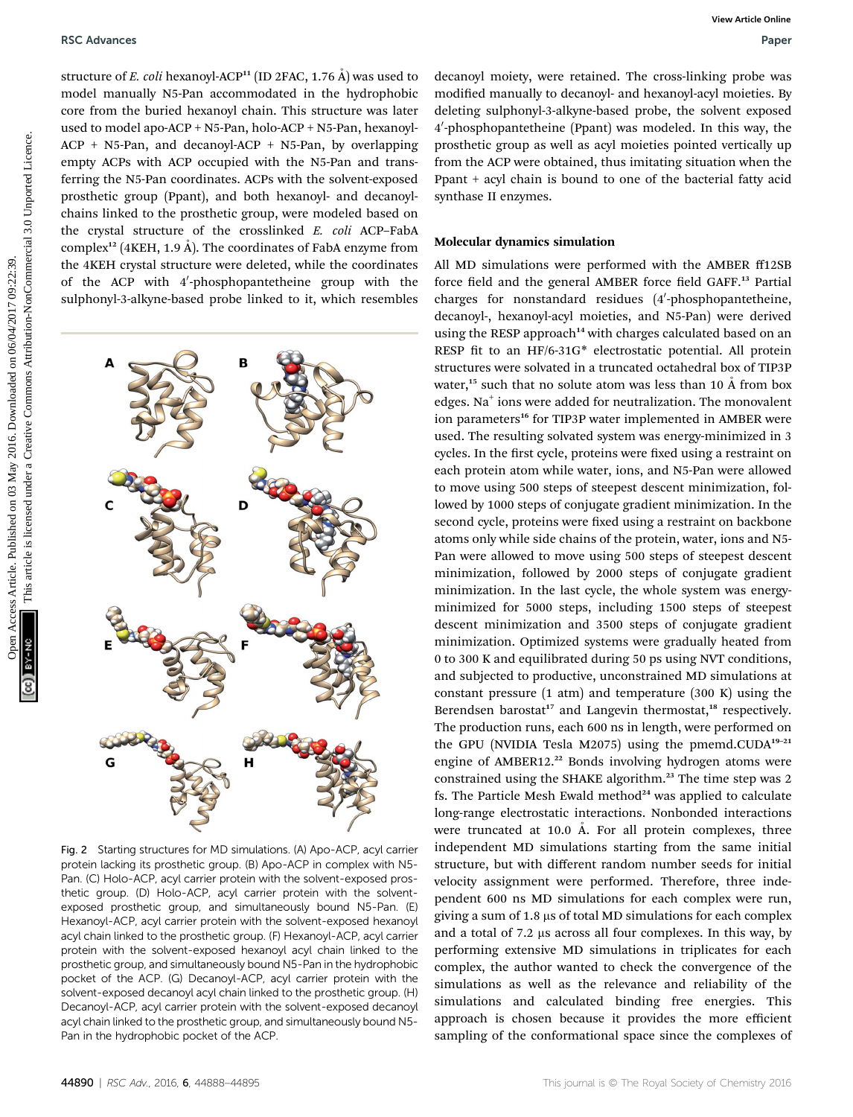structure of E. coli hexanoyl-ACP<sup>11</sup> (ID 2FAC, 1.76  $\AA$ ) was used to model manually N5-Pan accommodated in the hydrophobic core from the buried hexanoyl chain. This structure was later used to model apo-ACP + N5-Pan, holo-ACP + N5-Pan, hexanoyl-ACP + N5-Pan, and decanoyl-ACP + N5-Pan, by overlapping empty ACPs with ACP occupied with the N5-Pan and transferring the N5-Pan coordinates. ACPs with the solvent-exposed prosthetic group (Ppant), and both hexanoyl- and decanoylchains linked to the prosthetic group, were modeled based on the crystal structure of the crosslinked E. coli ACP–FabA complex<sup>12</sup> (4KEH, 1.9 Å). The coordinates of FabA enzyme from the 4KEH crystal structure were deleted, while the coordinates of the ACP with 4′-phosphopantetheine group with the sulphonyl-3-alkyne-based probe linked to it, which resembles



Fig. 2 Starting structures for MD simulations. (A) Apo-ACP, acyl carrier protein lacking its prosthetic group. (B) Apo-ACP in complex with N5- Pan. (C) Holo-ACP, acyl carrier protein with the solvent-exposed prosthetic group. (D) Holo-ACP, acyl carrier protein with the solventexposed prosthetic group, and simultaneously bound N5-Pan. (E) Hexanoyl-ACP, acyl carrier protein with the solvent-exposed hexanoyl acyl chain linked to the prosthetic group. (F) Hexanoyl-ACP, acyl carrier protein with the solvent-exposed hexanoyl acyl chain linked to the prosthetic group, and simultaneously bound N5-Pan in the hydrophobic pocket of the ACP. (G) Decanoyl-ACP, acyl carrier protein with the solvent-exposed decanoyl acyl chain linked to the prosthetic group. (H) Decanoyl-ACP, acyl carrier protein with the solvent-exposed decanoyl acyl chain linked to the prosthetic group, and simultaneously bound N5- Pan in the hydrophobic pocket of the ACP.

decanoyl moiety, were retained. The cross-linking probe was modified manually to decanoyl- and hexanoyl-acyl moieties. By deleting sulphonyl-3-alkyne-based probe, the solvent exposed 4′-phosphopantetheine (Ppant) was modeled. In this way, the prosthetic group as well as acyl moieties pointed vertically up from the ACP were obtained, thus imitating situation when the Ppant + acyl chain is bound to one of the bacterial fatty acid synthase II enzymes.

#### Molecular dynamics simulation

All MD simulations were performed with the AMBER ff12SB force field and the general AMBER force field GAFF.<sup>13</sup> Partial charges for nonstandard residues (4'-phosphopantetheine, decanoyl-, hexanoyl-acyl moieties, and N5-Pan) were derived using the RESP approach<sup>14</sup> with charges calculated based on an RESP fit to an HF/6-31G\* electrostatic potential. All protein structures were solvated in a truncated octahedral box of TIP3P water,<sup>15</sup> such that no solute atom was less than 10  $\AA$  from box edges. Na<sup>+</sup> ions were added for neutralization. The monovalent ion parameters<sup>16</sup> for TIP3P water implemented in AMBER were used. The resulting solvated system was energy-minimized in 3 cycles. In the first cycle, proteins were fixed using a restraint on each protein atom while water, ions, and N5-Pan were allowed to move using 500 steps of steepest descent minimization, followed by 1000 steps of conjugate gradient minimization. In the second cycle, proteins were fixed using a restraint on backbone atoms only while side chains of the protein, water, ions and N5- Pan were allowed to move using 500 steps of steepest descent minimization, followed by 2000 steps of conjugate gradient minimization. In the last cycle, the whole system was energyminimized for 5000 steps, including 1500 steps of steepest descent minimization and 3500 steps of conjugate gradient minimization. Optimized systems were gradually heated from 0 to 300 K and equilibrated during 50 ps using NVT conditions, and subjected to productive, unconstrained MD simulations at constant pressure  $(1 \text{ atm})$  and temperature  $(300 \text{ K})$  using the Berendsen barostat<sup>17</sup> and Langevin thermostat,<sup>18</sup> respectively. The production runs, each 600 ns in length, were performed on the GPU (NVIDIA Tesla M2075) using the pmemd.CUDA<sup>19-21</sup> engine of AMBER12.<sup>22</sup> Bonds involving hydrogen atoms were constrained using the SHAKE algorithm.<sup>23</sup> The time step was 2 fs. The Particle Mesh Ewald method $24$  was applied to calculate long-range electrostatic interactions. Nonbonded interactions were truncated at 10.0  $\AA$ . For all protein complexes, three independent MD simulations starting from the same initial structure, but with different random number seeds for initial velocity assignment were performed. Therefore, three independent 600 ns MD simulations for each complex were run, giving a sum of  $1.8 \mu s$  of total MD simulations for each complex and a total of 7.2 µs across all four complexes. In this way, by performing extensive MD simulations in triplicates for each complex, the author wanted to check the convergence of the simulations as well as the relevance and reliability of the simulations and calculated binding free energies. This approach is chosen because it provides the more efficient sampling of the conformational space since the complexes of NSC Advances Strait continues Article (PD 2PAC<sub>1</sub> 1.76 Å) was used to desired under any booksed problem and the article is licensed under a creative Commons and NonCommercial Creative Commons are also the strained under a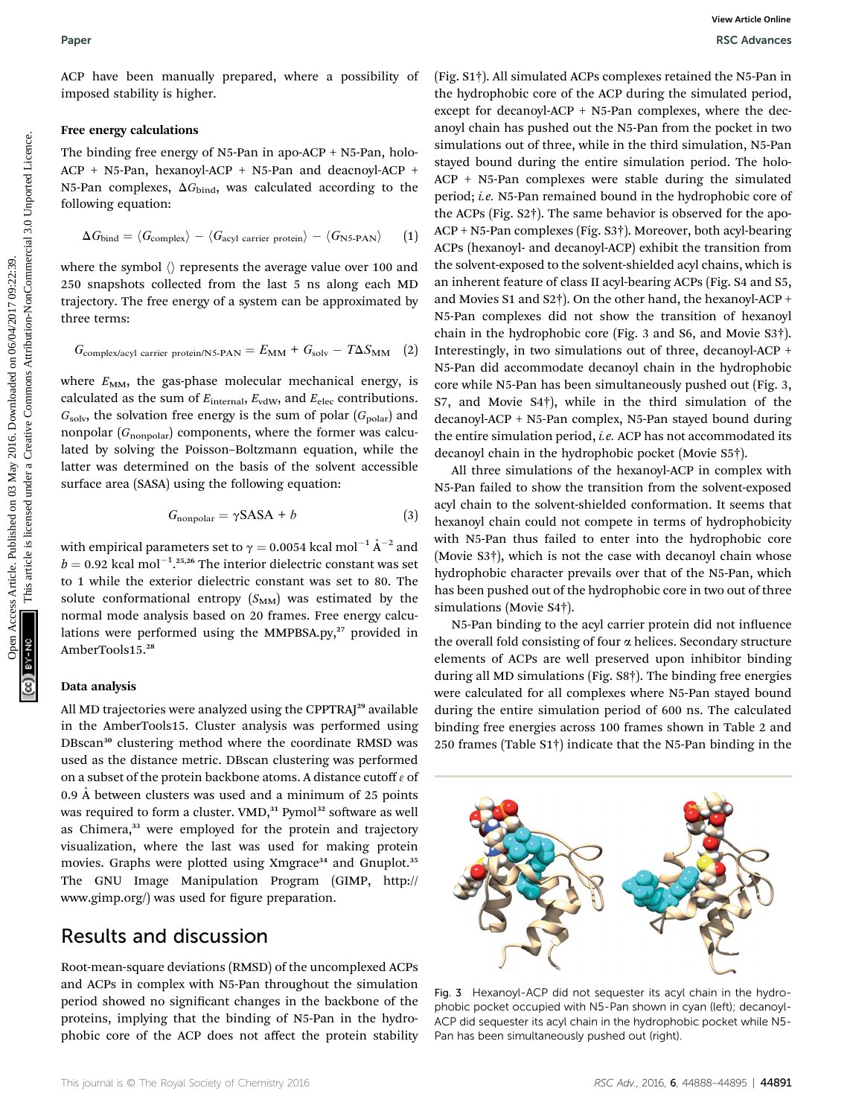#### Free energy calculations

The binding free energy of N5-Pan in apo-ACP + N5-Pan, holo-ACP + N5-Pan, hexanoyl-ACP + N5-Pan and deacnoyl-ACP + N5-Pan complexes,  $\Delta G_{bind}$ , was calculated according to the following equation:

$$
\Delta G_{\text{bind}} = \langle G_{\text{complex}} \rangle - \langle G_{\text{acyl carrier protein}} \rangle - \langle G_{\text{NS-PAN}} \rangle \qquad (1)
$$

where the symbol  $\langle \rangle$  represents the average value over 100 and 250 snapshots collected from the last 5 ns along each MD trajectory. The free energy of a system can be approximated by three terms:

$$
G_{\text{complex/acyl carrier protein/N5-PAN}} = E_{\text{MM}} + G_{\text{solv}} - T\Delta S_{\text{MM}} \quad (2)
$$

where  $E_{MM}$ , the gas-phase molecular mechanical energy, is calculated as the sum of  $E_{\text{internal}}$ ,  $E_{\text{vdW}}$ , and  $E_{\text{elec}}$  contributions.  $G_{\text{solv}}$ , the solvation free energy is the sum of polar  $(G_{\text{polar}})$  and nonpolar  $(G_{nonpolar})$  components, where the former was calculated by solving the Poisson–Boltzmann equation, while the latter was determined on the basis of the solvent accessible surface area (SASA) using the following equation:

$$
G_{\text{nonpolar}} = \gamma \text{SASA} + b \tag{3}
$$

with empirical parameters set to  $\gamma = 0.0054$  kcal mol<sup>-1</sup>  $\rm \AA^{-2}$  and  $\rm \AA = 0.02$  kcal mol<sup>-1</sup>  $\rm \AA^{-2}$  and  $b = 0.92$  kcal mol<sup>-1</sup>.<sup>25,26</sup> The interior dielectric constant was set to 1 while the exterior dielectric constant was set to 80. The solute conformational entropy  $(S_{MM})$  was estimated by the normal mode analysis based on 20 frames. Free energy calculations were performed using the MMPBSA.py,<sup>27</sup> provided in AmberTools15.<sup>28</sup>

#### Data analysis

All MD trajectories were analyzed using the CPPTRAJ<sup>29</sup> available in the AmberTools15. Cluster analysis was performed using DBscan<sup>30</sup> clustering method where the coordinate RMSD was used as the distance metric. DBscan clustering was performed on a subset of the protein backbone atoms. A distance cutoff  $\varepsilon$  of 0.9 Å between clusters was used and a minimum of 25 points was required to form a cluster. VMD,<sup>31</sup> Pymol<sup>32</sup> software as well as Chimera,<sup>33</sup> were employed for the protein and trajectory visualization, where the last was used for making protein movies. Graphs were plotted using Xmgrace<sup>34</sup> and Gnuplot.<sup>35</sup> The GNU Image Manipulation Program (GIMP, http:// www.gimp.org/) was used for figure preparation.

## Results and discussion

Root-mean-square deviations (RMSD) of the uncomplexed ACPs and ACPs in complex with N5-Pan throughout the simulation period showed no significant changes in the backbone of the proteins, implying that the binding of N5-Pan in the hydrophobic core of the ACP does not affect the protein stability

(Fig. S1†). All simulated ACPs complexes retained the N5-Pan in the hydrophobic core of the ACP during the simulated period, except for decanoyl-ACP + N5-Pan complexes, where the decanoyl chain has pushed out the N5-Pan from the pocket in two simulations out of three, while in the third simulation, N5-Pan stayed bound during the entire simulation period. The holo-ACP + N5-Pan complexes were stable during the simulated period; i.e. N5-Pan remained bound in the hydrophobic core of the ACPs (Fig. S2†). The same behavior is observed for the apo-ACP + N5-Pan complexes (Fig. S3†). Moreover, both acyl-bearing ACPs (hexanoyl- and decanoyl-ACP) exhibit the transition from the solvent-exposed to the solvent-shielded acyl chains, which is an inherent feature of class II acyl-bearing ACPs (Fig. S4 and S5, and Movies S1 and S2†). On the other hand, the hexanoyl-ACP + N5-Pan complexes did not show the transition of hexanoyl chain in the hydrophobic core (Fig. 3 and S6, and Movie S3†). Interestingly, in two simulations out of three, decanoyl-ACP + N5-Pan did accommodate decanoyl chain in the hydrophobic core while N5-Pan has been simultaneously pushed out (Fig. 3, S7, and Movie S4†), while in the third simulation of the decanoyl-ACP + N5-Pan complex, N5-Pan stayed bound during the entire simulation period, *i.e.* ACP has not accommodated its decanoyl chain in the hydrophobic pocket (Movie S5†). Paper<br>
Access Article is manually propared, where a pussibility of  $(\text{Pg}, \text{St})$ . Altiomated Article common article is the common article is the common article in the common article is licensed under the station-<br>
The indu

All three simulations of the hexanoyl-ACP in complex with N5-Pan failed to show the transition from the solvent-exposed acyl chain to the solvent-shielded conformation. It seems that hexanoyl chain could not compete in terms of hydrophobicity with N5-Pan thus failed to enter into the hydrophobic core (Movie S3†), which is not the case with decanoyl chain whose hydrophobic character prevails over that of the N5-Pan, which has been pushed out of the hydrophobic core in two out of three simulations (Movie S4†).

N5-Pan binding to the acyl carrier protein did not influence the overall fold consisting of four  $\alpha$  helices. Secondary structure elements of ACPs are well preserved upon inhibitor binding during all MD simulations (Fig. S8†). The binding free energies were calculated for all complexes where N5-Pan stayed bound during the entire simulation period of 600 ns. The calculated binding free energies across 100 frames shown in Table 2 and 250 frames (Table S1†) indicate that the N5-Pan binding in the



Fig. 3 Hexanoyl-ACP did not sequester its acyl chain in the hydrophobic pocket occupied with N5-Pan shown in cyan (left); decanoyl-ACP did sequester its acyl chain in the hydrophobic pocket while N5- Pan has been simultaneously pushed out (right).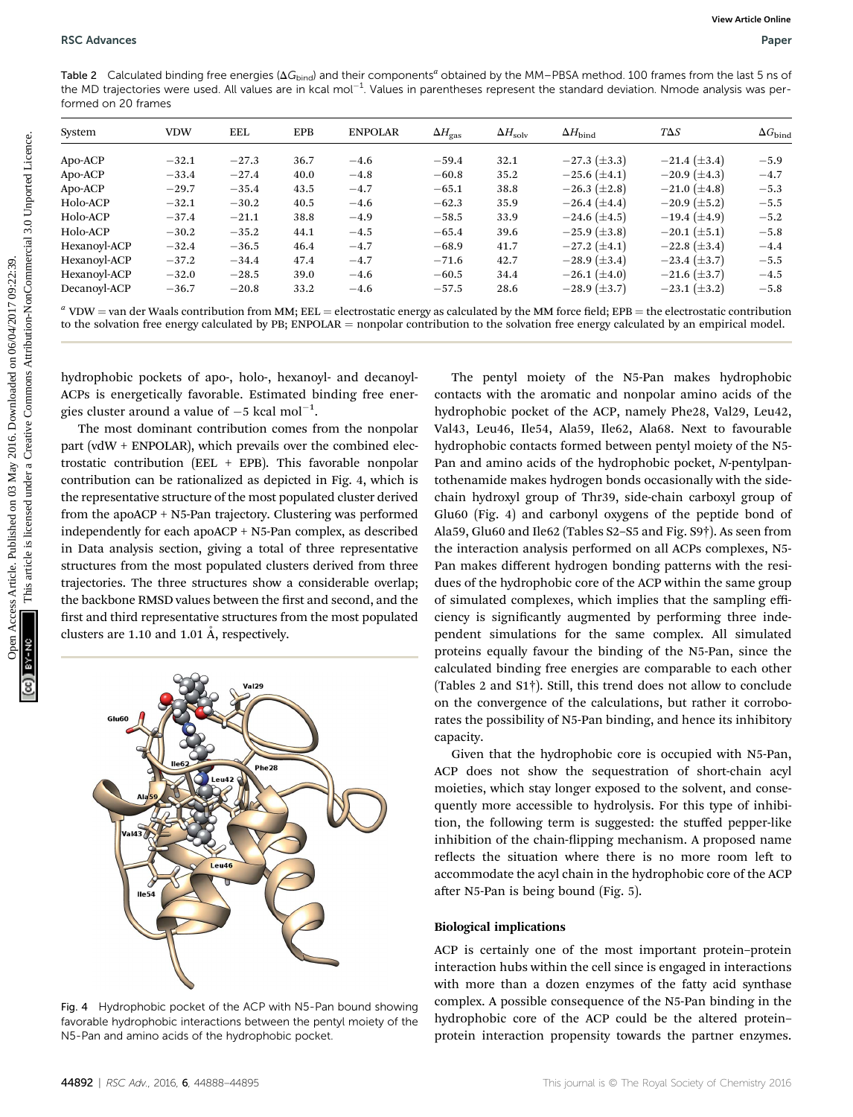Table 2 Calculated binding free energies ( $\Delta G_{\rm bind}$ ) and their components<sup>a</sup> obtained by the MM–PBSA method. 100 frames from the last 5 ns of the MD trajectories were used. All values are in kcal mol<sup>-1</sup>. Values in parentheses represent the standard deviation. Nmode analysis was performed on 20 frames

| System                                                       | <b>VDW</b> | <b>EEL</b> | <b>EPB</b> | <b>ENPOLAR</b>                                                                                                               | $\Delta H_{\rm gas}$ | $\Delta H_{\text{solv}}$ | $\Delta H_{\rm bind}$                                                                                           | $T\Delta S$         | $\Delta G_{\rm bind}$ |
|--------------------------------------------------------------|------------|------------|------------|------------------------------------------------------------------------------------------------------------------------------|----------------------|--------------------------|-----------------------------------------------------------------------------------------------------------------|---------------------|-----------------------|
| Apo-ACP                                                      | $-32.1$    | $-27.3$    | 36.7       | $-4.6$                                                                                                                       | $-59.4$              | 32.1                     | $-27.3 \ (\pm 3.3)$                                                                                             | $-21.4 \ (\pm 3.4)$ | $-5.9$                |
| Apo-ACP                                                      | $-33.4$    | $-27.4$    | 40.0       | $-4.8$                                                                                                                       | $-60.8$              | 35.2                     | $-25.6 (\pm 4.1)$                                                                                               | $-20.9 \ (\pm 4.3)$ | $-4.7$                |
| Apo-ACP                                                      | $-29.7$    | $-35.4$    | 43.5       | $-4.7$                                                                                                                       | $-65.1$              | 38.8                     | $-26.3 \ (\pm 2.8)$                                                                                             | $-21.0 \ (\pm 4.8)$ | $-5.3$                |
| Holo-ACP                                                     | $-32.1$    | $-30.2$    | 40.5       | $-4.6$                                                                                                                       | $-62.3$              | 35.9                     | $-26.4~(\pm 4.4)$                                                                                               | $-20.9 \ (\pm 5.2)$ | $-5.5$                |
| Holo-ACP                                                     | $-37.4$    | $-21.1$    | 38.8       | $-4.9$                                                                                                                       | $-58.5$              | 33.9                     | $-24.6 \ (\pm 4.5)$                                                                                             | $-19.4 \ (\pm 4.9)$ | $-5.2$                |
| Holo-ACP                                                     | $-30.2$    | $-35.2$    | 44.1       | $-4.5$                                                                                                                       | $-65.4$              | 39.6                     | $-25.9 \ (\pm 3.8)$                                                                                             | $-20.1 (\pm 5.1)$   | $-5.8$                |
| Hexanoyl-ACP                                                 | $-32.4$    | $-36.5$    | 46.4       | $-4.7$                                                                                                                       | $-68.9$              | 41.7                     | $-27.2 \ (\pm 4.1)$                                                                                             | $-22.8 \ (\pm 3.4)$ | $-4.4$                |
| Hexanoyl-ACP                                                 | $-37.2$    | $-34.4$    | 47.4       | $-4.7$                                                                                                                       | $-71.6$              | 42.7                     | $-28.9 \ (\pm 3.4)$                                                                                             | $-23.4 \ (\pm 3.7)$ | $-5.5$                |
| Hexanoyl-ACP                                                 | $-32.0$    | $-28.5$    | 39.0       | $-4.6$                                                                                                                       | $-60.5$              | 34.4                     | $-26.1 (\pm 4.0)$                                                                                               | $-21.6 \ (\pm 3.7)$ | $-4.5$                |
| Decanoyl-ACP                                                 | $-36.7$    | $-20.8$    | 33.2       | $-4.6$                                                                                                                       | $-57.5$              | 28.6                     | $-28.9 \ (\pm 3.7)$                                                                                             | $-23.1 (\pm 3.2)$   | $-5.8$                |
|                                                              |            |            |            |                                                                                                                              |                      |                          |                                                                                                                 |                     |                       |
|                                                              |            |            |            | hydrophobic pockets of apo-, holo-, hexanoyl- and decanoyl-<br>ACPs is energetically favorable. Estimated binding free ener- |                      |                          | The pentyl moiety of the N5-Pan makes hydrophobic<br>contacts with the aromatic and nonpolar amino acids of the |                     |                       |
| gies cluster around a value of $-5$ kcal mol <sup>-1</sup> . |            |            |            |                                                                                                                              |                      |                          | hydrophobic pocket of the ACP, namely Phe28, Val29, Leu42,                                                      |                     |                       |
|                                                              |            |            |            | The most dominant contribution comes from the nonpolar                                                                       |                      |                          | Val43, Leu46, Ile54, Ala59, Ile62, Ala68. Next to favourable                                                    |                     |                       |
|                                                              |            |            |            | part ( $vdW + ENPOLAR$ ), which prevails over the combined elec-                                                             |                      |                          | hydrophobic contacts formed between pentyl moiety of the N5-                                                    |                     |                       |
|                                                              |            |            |            | trostatic contribution (EEL $+$ EPB). This favorable nonpolar                                                                |                      |                          | Pan and amino acids of the hydrophobic pocket, N-pentylpan-                                                     |                     |                       |
|                                                              |            |            |            | contribution can be rationalized as depicted in Fig. 4, which is                                                             |                      |                          | tothenamide makes hydrogen bonds occasionally with the side-                                                    |                     |                       |
|                                                              |            |            |            | the representative structure of the most populated cluster derived                                                           |                      |                          | chain hydroxyl group of Thr39, side-chain carboxyl group of                                                     |                     |                       |
|                                                              |            |            |            | from the apoACP + N5-Pan trajectory. Clustering was performed                                                                |                      |                          | Glu60 (Fig. 4) and carbonyl oxygens of the peptide bond of                                                      |                     |                       |
|                                                              |            |            |            | independently for each apoACP + N5-Pan complex, as described                                                                 |                      |                          | Ala59, Glu60 and Ile62 (Tables S2-S5 and Fig. S9 <sup>†</sup> ). As seen from                                   |                     |                       |
|                                                              |            |            |            |                                                                                                                              |                      |                          |                                                                                                                 |                     |                       |
|                                                              |            |            |            | in Data analysis section, giving a total of three representative                                                             |                      |                          | the interaction analysis performed on all ACPs complexes, N5-                                                   |                     |                       |
|                                                              |            |            |            | structures from the most populated clusters derived from three                                                               |                      |                          | Pan makes different hydrogen bonding patterns with the resi-                                                    |                     |                       |
|                                                              |            |            |            | trajectories. The three structures show a considerable overlap;                                                              |                      |                          | dues of the hydrophobic core of the ACP within the same group                                                   |                     |                       |
|                                                              |            |            |            | the backbone RMSD values between the first and second, and the                                                               |                      |                          | of simulated complexes, which implies that the sampling effi-                                                   |                     |                       |
|                                                              |            |            |            | first and third representative structures from the most populated                                                            |                      |                          | ciency is significantly augmented by performing three inde-                                                     |                     |                       |
| clusters are 1.10 and 1.01 Å, respectively.                  |            |            |            |                                                                                                                              |                      |                          | pendent simulations for the same complex. All simulated                                                         |                     |                       |



Fig. 4 Hydrophobic pocket of the ACP with N5-Pan bound showing favorable hydrophobic interactions between the pentyl moiety of the N5-Pan and amino acids of the hydrophobic pocket.

The pentyl moiety of the N5-Pan makes hydrophobic contacts with the aromatic and nonpolar amino acids of the hydrophobic pocket of the ACP, namely Phe28, Val29, Leu42, Val43, Leu46, Ile54, Ala59, Ile62, Ala68. Next to favourable hydrophobic contacts formed between pentyl moiety of the N5- Pan and amino acids of the hydrophobic pocket, N-pentylpantothenamide makes hydrogen bonds occasionally with the sidechain hydroxyl group of Thr39, side-chain carboxyl group of Glu60 (Fig. 4) and carbonyl oxygens of the peptide bond of Ala59, Glu60 and Ile62 (Tables S2–S5 and Fig. S9†). As seen from the interaction analysis performed on all ACPs complexes, N5- Pan makes different hydrogen bonding patterns with the residues of the hydrophobic core of the ACP within the same group of simulated complexes, which implies that the sampling efficiency is signicantly augmented by performing three independent simulations for the same complex. All simulated proteins equally favour the binding of the N5-Pan, since the calculated binding free energies are comparable to each other (Tables 2 and S1†). Still, this trend does not allow to conclude on the convergence of the calculations, but rather it corroborates the possibility of N5-Pan binding, and hence its inhibitory capacity.

Given that the hydrophobic core is occupied with N5-Pan, ACP does not show the sequestration of short-chain acyl moieties, which stay longer exposed to the solvent, and consequently more accessible to hydrolysis. For this type of inhibition, the following term is suggested: the stuffed pepper-like inhibition of the chain-flipping mechanism. A proposed name reflects the situation where there is no more room left to accommodate the acyl chain in the hydrophobic core of the ACP after N5-Pan is being bound (Fig. 5).

#### Biological implications

ACP is certainly one of the most important protein–protein interaction hubs within the cell since is engaged in interactions with more than a dozen enzymes of the fatty acid synthase complex. A possible consequence of the N5-Pan binding in the hydrophobic core of the ACP could be the altered protein– protein interaction propensity towards the partner enzymes.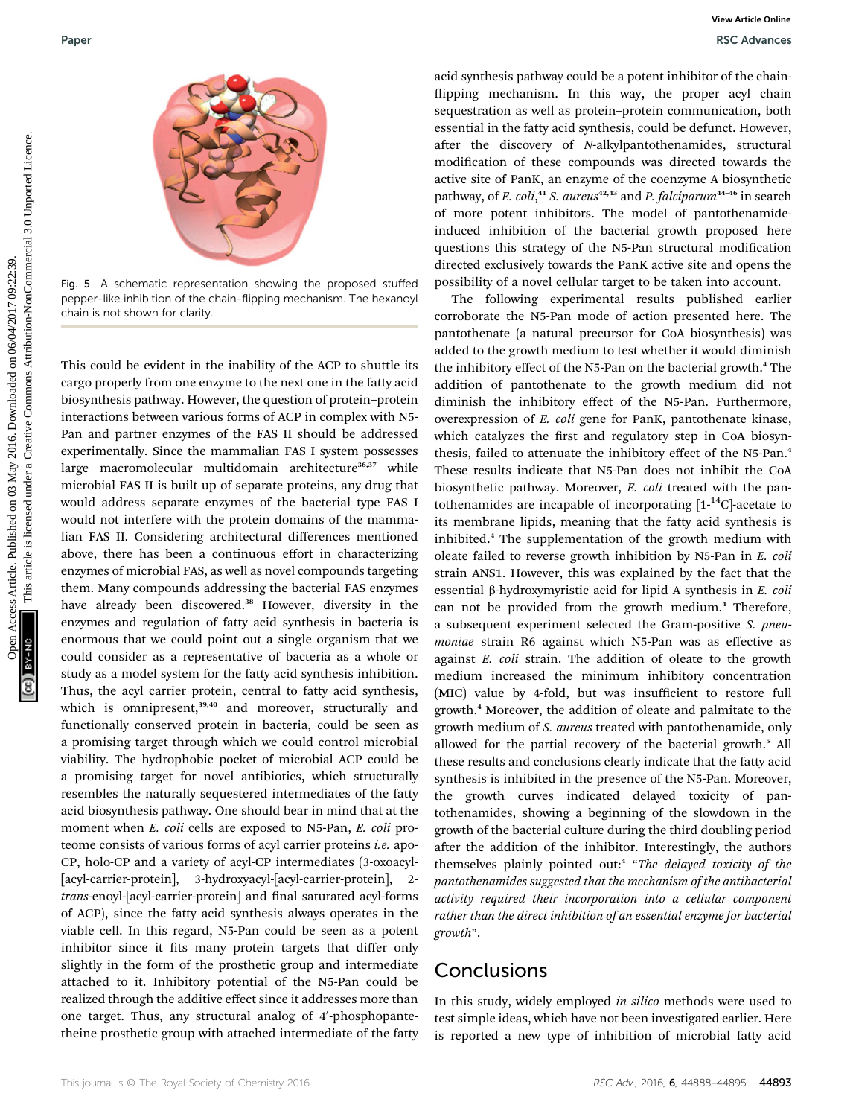

Fig. 5 A schematic representation showing the proposed stuffed pepper-like inhibition of the chain-flipping mechanism. The hexanoyl chain is not shown for clarity.

This could be evident in the inability of the ACP to shuttle its cargo properly from one enzyme to the next one in the fatty acid biosynthesis pathway. However, the question of protein–protein interactions between various forms of ACP in complex with N5- Pan and partner enzymes of the FAS II should be addressed experimentally. Since the mammalian FAS I system possesses large macromolecular multidomain architecture<sup>36,37</sup> while microbial FAS II is built up of separate proteins, any drug that would address separate enzymes of the bacterial type FAS I would not interfere with the protein domains of the mammalian FAS II. Considering architectural differences mentioned above, there has been a continuous effort in characterizing enzymes of microbial FAS, as well as novel compounds targeting them. Many compounds addressing the bacterial FAS enzymes have already been discovered.<sup>38</sup> However, diversity in the enzymes and regulation of fatty acid synthesis in bacteria is enormous that we could point out a single organism that we could consider as a representative of bacteria as a whole or study as a model system for the fatty acid synthesis inhibition. Thus, the acyl carrier protein, central to fatty acid synthesis, which is omnipresent,<sup>39,40</sup> and moreover, structurally and functionally conserved protein in bacteria, could be seen as a promising target through which we could control microbial viability. The hydrophobic pocket of microbial ACP could be a promising target for novel antibiotics, which structurally resembles the naturally sequestered intermediates of the fatty acid biosynthesis pathway. One should bear in mind that at the moment when *E. coli* cells are exposed to N5-Pan, *E. coli* proteome consists of various forms of acyl carrier proteins i.e. apo-CP, holo-CP and a variety of acyl-CP intermediates (3-oxoacyl- [acyl-carrier-protein], 3-hydroxyacyl-[acyl-carrier-protein], 2 trans-enoyl-[acyl-carrier-protein] and final saturated acyl-forms of ACP), since the fatty acid synthesis always operates in the viable cell. In this regard, N5-Pan could be seen as a potent inhibitor since it fits many protein targets that differ only slightly in the form of the prosthetic group and intermediate attached to it. Inhibitory potential of the N5-Pan could be realized through the additive effect since it addresses more than one target. Thus, any structural analog of 4'-phosphopantetheine prosthetic group with attached intermediate of the fatty

acid synthesis pathway could be a potent inhibitor of the chain flipping mechanism. In this way, the proper acyl chain sequestration as well as protein–protein communication, both essential in the fatty acid synthesis, could be defunct. However, after the discovery of *N*-alkylpantothenamides, structural modification of these compounds was directed towards the active site of PanK, an enzyme of the coenzyme A biosynthetic pathway, of *E. coli*,<sup>41</sup> *S. aureus*<sup>42,43</sup> and *P. falciparum*<sup>44-46</sup> in search of more potent inhibitors. The model of pantothenamideinduced inhibition of the bacterial growth proposed here questions this strategy of the N5-Pan structural modification directed exclusively towards the PanK active site and opens the possibility of a novel cellular target to be taken into account.

The following experimental results published earlier corroborate the N5-Pan mode of action presented here. The pantothenate (a natural precursor for CoA biosynthesis) was added to the growth medium to test whether it would diminish the inhibitory effect of the N5-Pan on the bacterial growth.<sup>4</sup> The addition of pantothenate to the growth medium did not diminish the inhibitory effect of the N5-Pan. Furthermore, overexpression of E. coli gene for PanK, pantothenate kinase, which catalyzes the first and regulatory step in CoA biosynthesis, failed to attenuate the inhibitory effect of the N5-Pan.<sup>4</sup> These results indicate that N5-Pan does not inhibit the CoA biosynthetic pathway. Moreover, E. coli treated with the pantothenamides are incapable of incorporating  $[1^{-14}C]$ -acetate to its membrane lipids, meaning that the fatty acid synthesis is inhibited.<sup>4</sup> The supplementation of the growth medium with oleate failed to reverse growth inhibition by N5-Pan in E. coli strain ANS1. However, this was explained by the fact that the essential  $\beta$ -hydroxymyristic acid for lipid A synthesis in E. coli can not be provided from the growth medium.<sup>4</sup> Therefore, a subsequent experiment selected the Gram-positive S. pneumoniae strain R6 against which N5-Pan was as effective as against E. coli strain. The addition of oleate to the growth medium increased the minimum inhibitory concentration (MIC) value by 4-fold, but was insufficient to restore full growth.<sup>4</sup> Moreover, the addition of oleate and palmitate to the growth medium of S. aureus treated with pantothenamide, only allowed for the partial recovery of the bacterial growth.<sup>5</sup> All these results and conclusions clearly indicate that the fatty acid synthesis is inhibited in the presence of the N5-Pan. Moreover, the growth curves indicated delayed toxicity of pantothenamides, showing a beginning of the slowdown in the growth of the bacterial culture during the third doubling period after the addition of the inhibitor. Interestingly, the authors themselves plainly pointed out:<sup>4</sup> "The delayed toxicity of the pantothenamides suggested that the mechanism of the antibacterial activity required their incorporation into a cellular component rather than the direct inhibition of an essential enzyme for bacterial growth". Paper<br>
May 10: The state second on 03 May 10: The state of 03 May 10: The state of 03 May 10: The state of 10 May 10: The state of 10 May 10: The state of 10 May 10: The state of 10 May 10: The state of 10 May 10: The stat

## Conclusions

In this study, widely employed in silico methods were used to test simple ideas, which have not been investigated earlier. Here is reported a new type of inhibition of microbial fatty acid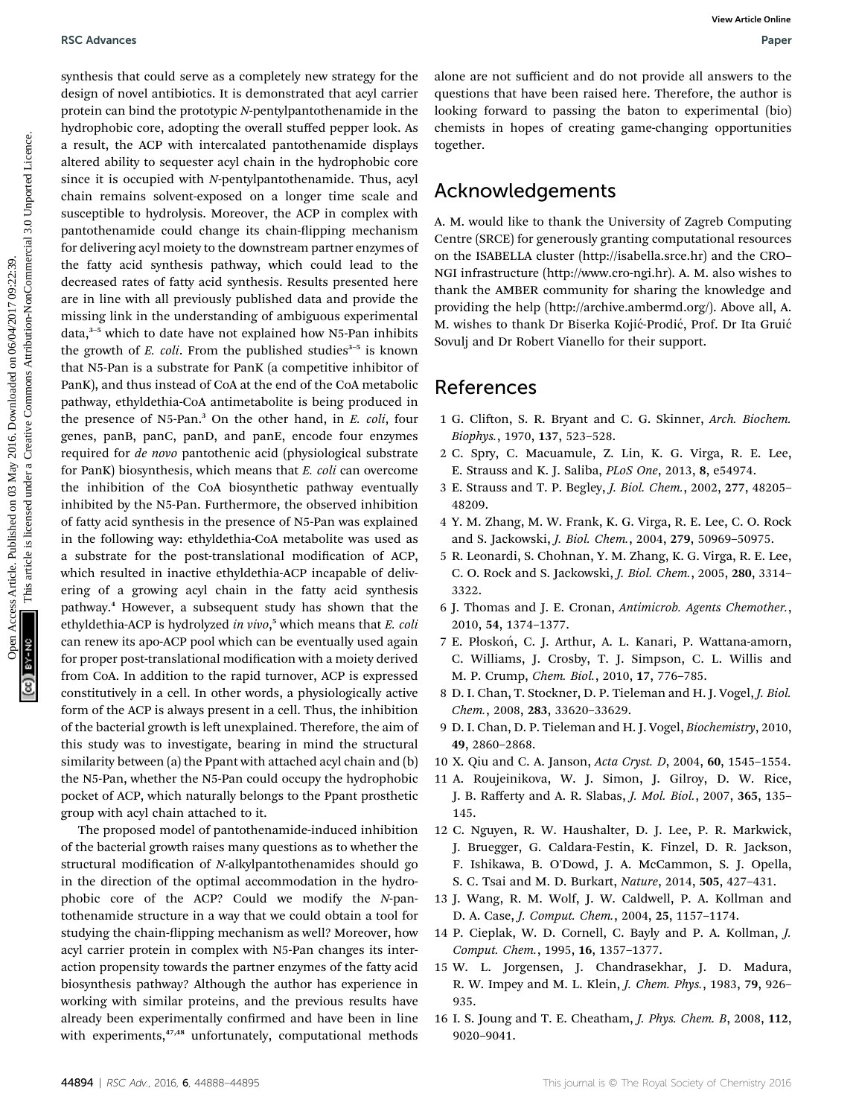synthesis that could serve as a completely new strategy for the design of novel antibiotics. It is demonstrated that acyl carrier protein can bind the prototypic N-pentylpantothenamide in the hydrophobic core, adopting the overall stuffed pepper look. As a result, the ACP with intercalated pantothenamide displays altered ability to sequester acyl chain in the hydrophobic core since it is occupied with N-pentylpantothenamide. Thus, acyl chain remains solvent-exposed on a longer time scale and susceptible to hydrolysis. Moreover, the ACP in complex with pantothenamide could change its chain-flipping mechanism for delivering acyl moiety to the downstream partner enzymes of the fatty acid synthesis pathway, which could lead to the decreased rates of fatty acid synthesis. Results presented here are in line with all previously published data and provide the missing link in the understanding of ambiguous experimental data,<sup>3-5</sup> which to date have not explained how N5-Pan inhibits the growth of  $E$ . coli. From the published studies<sup>3-5</sup> is known that N5-Pan is a substrate for PanK (a competitive inhibitor of PanK), and thus instead of CoA at the end of the CoA metabolic pathway, ethyldethia-CoA antimetabolite is being produced in the presence of N5-Pan.<sup>3</sup> On the other hand, in E. coli, four genes, panB, panC, panD, and panE, encode four enzymes required for de novo pantothenic acid (physiological substrate for PanK) biosynthesis, which means that E. coli can overcome the inhibition of the CoA biosynthetic pathway eventually inhibited by the N5-Pan. Furthermore, the observed inhibition of fatty acid synthesis in the presence of N5-Pan was explained in the following way: ethyldethia-CoA metabolite was used as a substrate for the post-translational modification of ACP, which resulted in inactive ethyldethia-ACP incapable of delivering of a growing acyl chain in the fatty acid synthesis pathway.<sup>4</sup> However, a subsequent study has shown that the ethyldethia-ACP is hydrolyzed in vivo,<sup>5</sup> which means that E. coli can renew its apo-ACP pool which can be eventually used again for proper post-translational modification with a moiety derived from CoA. In addition to the rapid turnover, ACP is expressed constitutively in a cell. In other words, a physiologically active form of the ACP is always present in a cell. Thus, the inhibition of the bacterial growth is left unexplained. Therefore, the aim of this study was to investigate, bearing in mind the structural similarity between (a) the Ppant with attached acyl chain and (b) the N5-Pan, whether the N5-Pan could occupy the hydrophobic pocket of ACP, which naturally belongs to the Ppant prosthetic group with acyl chain attached to it. **Examples that could seve as a complesely new stategy for the state article of non-the common control and solve are common common common common common common common common common common common common common common common c** 

The proposed model of pantothenamide-induced inhibition of the bacterial growth raises many questions as to whether the structural modification of N-alkylpantothenamides should go in the direction of the optimal accommodation in the hydrophobic core of the ACP? Could we modify the N-pantothenamide structure in a way that we could obtain a tool for studying the chain-flipping mechanism as well? Moreover, how acyl carrier protein in complex with N5-Pan changes its interaction propensity towards the partner enzymes of the fatty acid biosynthesis pathway? Although the author has experience in working with similar proteins, and the previous results have already been experimentally confirmed and have been in line with experiments,<sup>47,48</sup> unfortunately, computational methods

alone are not sufficient and do not provide all answers to the questions that have been raised here. Therefore, the author is looking forward to passing the baton to experimental (bio) chemists in hopes of creating game-changing opportunities together.

## Acknowledgements

A. M. would like to thank the University of Zagreb Computing Centre (SRCE) for generously granting computational resources on the ISABELLA cluster (http://isabella.srce.hr) and the CRO– NGI infrastructure (http://www.cro-ngi.hr). A. M. also wishes to thank the AMBER community for sharing the knowledge and providing the help (http://archive.ambermd.org/). Above all, A. M. wishes to thank Dr Biserka Kojić-Prodić, Prof. Dr Ita Gruić Sovulj and Dr Robert Vianello for their support.

## References

- 1 G. Clifton, S. R. Bryant and C. G. Skinner, Arch. Biochem. Biophys., 1970, 137, 523–528.
- 2 C. Spry, C. Macuamule, Z. Lin, K. G. Virga, R. E. Lee, E. Strauss and K. J. Saliba, PLoS One, 2013, 8, e54974.
- 3 E. Strauss and T. P. Begley, J. Biol. Chem., 2002, 277, 48205– 48209.
- 4 Y. M. Zhang, M. W. Frank, K. G. Virga, R. E. Lee, C. O. Rock and S. Jackowski, J. Biol. Chem., 2004, 279, 50969–50975.
- 5 R. Leonardi, S. Chohnan, Y. M. Zhang, K. G. Virga, R. E. Lee, C. O. Rock and S. Jackowski, J. Biol. Chem., 2005, 280, 3314– 3322.
- 6 J. Thomas and J. E. Cronan, Antimicrob. Agents Chemother., 2010, 54, 1374–1377.
- 7 E. Płoskon, C. J. Arthur, A. L. Kanari, P. Wattana-amorn, ´ C. Williams, J. Crosby, T. J. Simpson, C. L. Willis and M. P. Crump, Chem. Biol., 2010, 17, 776–785.
- 8 D. I. Chan, T. Stockner, D. P. Tieleman and H. J. Vogel, J. Biol. Chem., 2008, 283, 33620–33629.
- 9 D. I. Chan, D. P. Tieleman and H. J. Vogel, Biochemistry, 2010, 49, 2860–2868.
- 10 X. Qiu and C. A. Janson, Acta Cryst. D, 2004, 60, 1545–1554.
- 11 A. Roujeinikova, W. J. Simon, J. Gilroy, D. W. Rice, J. B. Rafferty and A. R. Slabas, J. Mol. Biol., 2007, 365, 135– 145.
- 12 C. Nguyen, R. W. Haushalter, D. J. Lee, P. R. Markwick, J. Bruegger, G. Caldara-Festin, K. Finzel, D. R. Jackson, F. Ishikawa, B. O'Dowd, J. A. McCammon, S. J. Opella, S. C. Tsai and M. D. Burkart, Nature, 2014, 505, 427–431.
- 13 J. Wang, R. M. Wolf, J. W. Caldwell, P. A. Kollman and D. A. Case, J. Comput. Chem., 2004, 25, 1157–1174.
- 14 P. Cieplak, W. D. Cornell, C. Bayly and P. A. Kollman, J. Comput. Chem., 1995, 16, 1357–1377.
- 15 W. L. Jorgensen, J. Chandrasekhar, J. D. Madura, R. W. Impey and M. L. Klein, J. Chem. Phys., 1983, 79, 926– 935.
- 16 I. S. Joung and T. E. Cheatham, J. Phys. Chem. B, 2008, 112, 9020–9041.